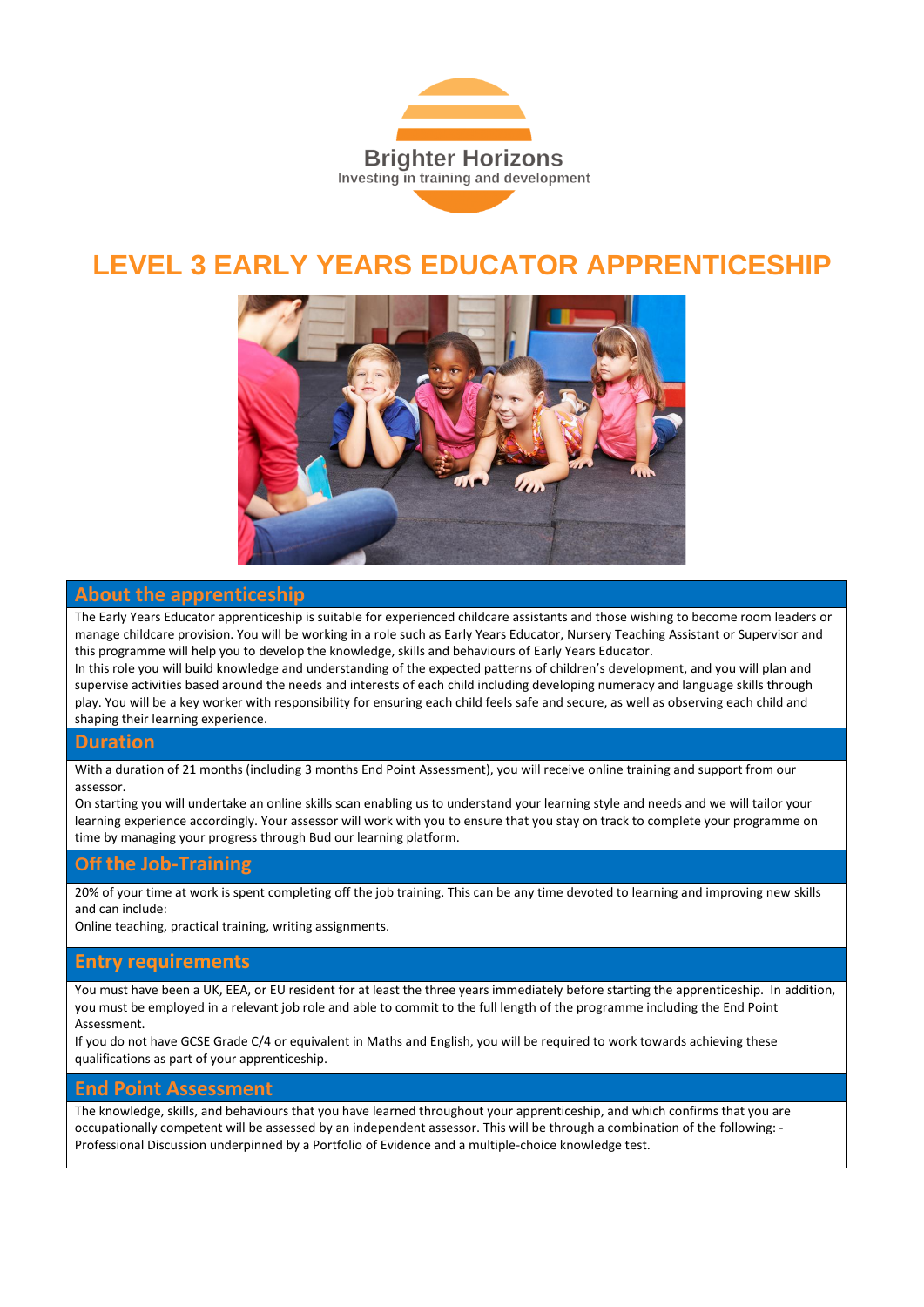

# **LEVEL 3 EARLY YEARS EDUCATOR APPRENTICESHIP**



### **About the apprenticeship**

The Early Years Educator apprenticeship is suitable for experienced childcare assistants and those wishing to become room leaders or manage childcare provision. You will be working in a role such as Early Years Educator, Nursery Teaching Assistant or Supervisor and this programme will help you to develop the knowledge, skills and behaviours of Early Years Educator.

In this role you will build knowledge and understanding of the expected patterns of children's development, and you will plan and supervise activities based around the needs and interests of each child including developing numeracy and language skills through play. You will be a key worker with responsibility for ensuring each child feels safe and secure, as well as observing each child and shaping their learning experience.

#### **Duration**

With a duration of 21 months (including 3 months End Point Assessment), you will receive online training and support from our assessor.

On starting you will undertake an online skills scan enabling us to understand your learning style and needs and we will tailor your learning experience accordingly. Your assessor will work with you to ensure that you stay on track to complete your programme on time by managing your progress through Bud our learning platform.

### **Off the Job-Training**

20% of your time at work is spent completing off the job training. This can be any time devoted to learning and improving new skills and can include:

Online teaching, practical training, writing assignments.

#### **Entry requirements**

You must have been a UK, EEA, or EU resident for at least the three years immediately before starting the apprenticeship. In addition, you must be employed in a relevant job role and able to commit to the full length of the programme including the End Point Assessment.

If you do not have GCSE Grade C/4 or equivalent in Maths and English, you will be required to work towards achieving these qualifications as part of your apprenticeship.

#### **End Point Assessment**

The knowledge, skills, and behaviours that you have learned throughout your apprenticeship, and which confirms that you are occupationally competent will be assessed by an independent assessor. This will be through a combination of the following: - Professional Discussion underpinned by a Portfolio of Evidence and a multiple-choice knowledge test.